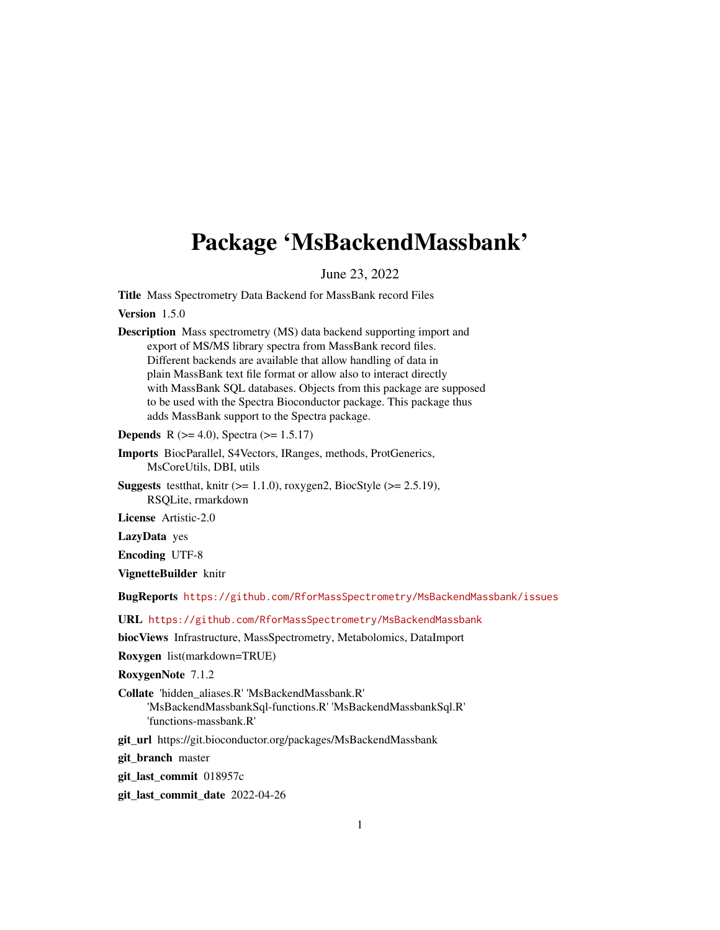# <span id="page-0-0"></span>Package 'MsBackendMassbank'

June 23, 2022

Title Mass Spectrometry Data Backend for MassBank record Files

Version 1.5.0

Description Mass spectrometry (MS) data backend supporting import and export of MS/MS library spectra from MassBank record files. Different backends are available that allow handling of data in plain MassBank text file format or allow also to interact directly with MassBank SQL databases. Objects from this package are supposed to be used with the Spectra Bioconductor package. This package thus adds MassBank support to the Spectra package.

**Depends** R ( $>= 4.0$ ), Spectra ( $>= 1.5.17$ )

- Imports BiocParallel, S4Vectors, IRanges, methods, ProtGenerics, MsCoreUtils, DBI, utils
- **Suggests** test that, knitr  $(>= 1.1.0)$ , roxygen2, BiocStyle  $(>= 2.5.19)$ , RSQLite, rmarkdown

License Artistic-2.0

LazyData yes

Encoding UTF-8

VignetteBuilder knitr

BugReports <https://github.com/RforMassSpectrometry/MsBackendMassbank/issues>

URL <https://github.com/RforMassSpectrometry/MsBackendMassbank>

biocViews Infrastructure, MassSpectrometry, Metabolomics, DataImport

Roxygen list(markdown=TRUE)

RoxygenNote 7.1.2

- Collate 'hidden\_aliases.R' 'MsBackendMassbank.R' 'MsBackendMassbankSql-functions.R' 'MsBackendMassbankSql.R' 'functions-massbank.R'
- git\_url https://git.bioconductor.org/packages/MsBackendMassbank

git\_branch master

git\_last\_commit 018957c

git\_last\_commit\_date 2022-04-26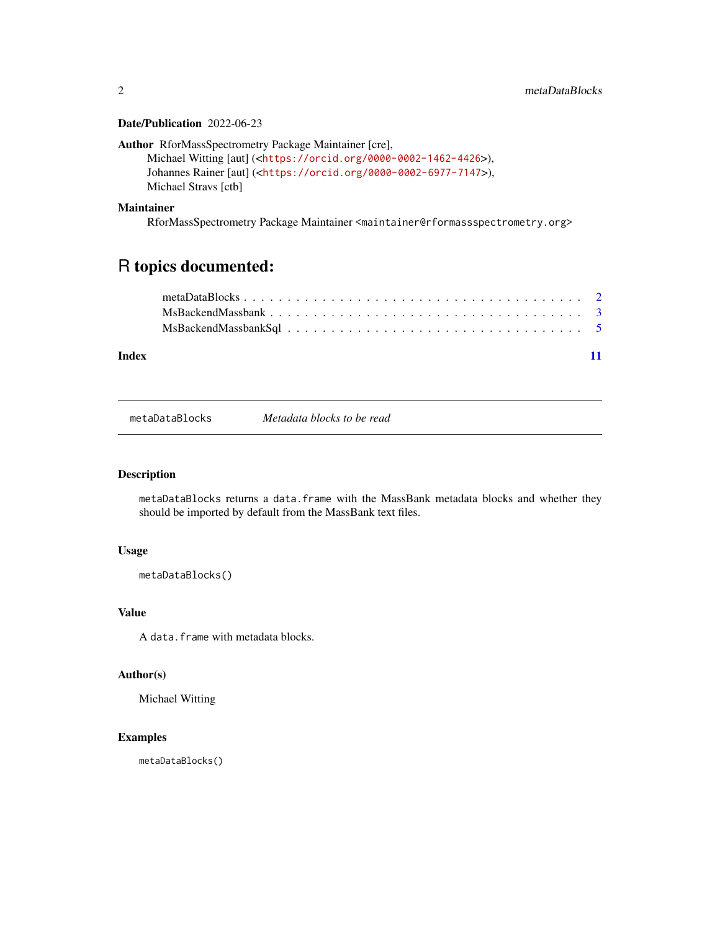#### <span id="page-1-0"></span>Date/Publication 2022-06-23

```
Author RforMassSpectrometry Package Maintainer [cre],
```

```
Michael Witting [aut] (<https://orcid.org/0000-0002-1462-4426>),
Johannes Rainer [aut] (<https://orcid.org/0000-0002-6977-7147>),
Michael Stravs [ctb]
```
#### Maintainer

RforMassSpectrometry Package Maintainer <maintainer@rformassspectrometry.org>

## R topics documented:

| Index |  |  |  |  |  |  |  |  |  |  |  |  |  |  |  |  |  |  |
|-------|--|--|--|--|--|--|--|--|--|--|--|--|--|--|--|--|--|--|

<span id="page-1-1"></span>metaDataBlocks *Metadata blocks to be read*

### Description

metaDataBlocks returns a data.frame with the MassBank metadata blocks and whether they should be imported by default from the MassBank text files.

#### Usage

```
metaDataBlocks()
```
#### Value

A data.frame with metadata blocks.

#### Author(s)

Michael Witting

### Examples

metaDataBlocks()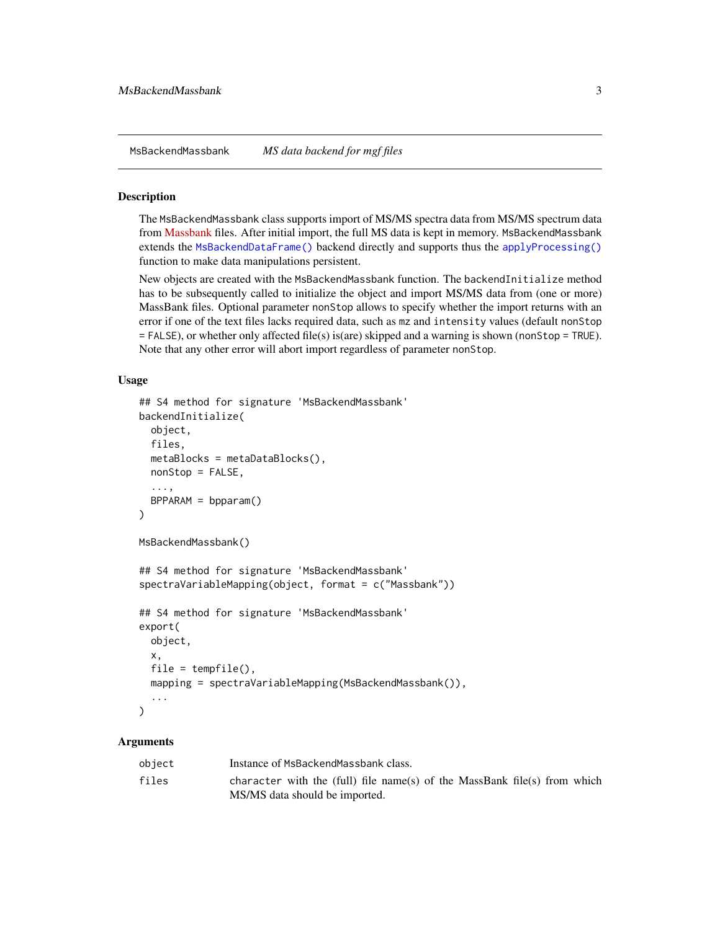<span id="page-2-0"></span>MsBackendMassbank *MS data backend for mgf files*

#### Description

The MsBackendMassbank class supports import of MS/MS spectra data from MS/MS spectrum data from [Massbank](https://github.com/MassBank/MassBank-data) files. After initial import, the full MS data is kept in memory. MsBackendMassbank extends the [MsBackendDataFrame\(\)](#page-0-0) backend directly and supports thus the [applyProcessing\(\)](#page-0-0) function to make data manipulations persistent.

New objects are created with the MsBackendMassbank function. The backendInitialize method has to be subsequently called to initialize the object and import MS/MS data from (one or more) MassBank files. Optional parameter nonStop allows to specify whether the import returns with an error if one of the text files lacks required data, such as mz and intensity values (default nonStop = FALSE), or whether only affected file(s) is(are) skipped and a warning is shown (nonStop = TRUE). Note that any other error will abort import regardless of parameter nonStop.

#### Usage

```
## S4 method for signature 'MsBackendMassbank'
backendInitialize(
  object,
  files,
  metaBlocks = metaDataBlocks(),
  nonStop = FALSE,
  ...,
  BPPARAM = bpparam()
)
MsBackendMassbank()
## S4 method for signature 'MsBackendMassbank'
spectraVariableMapping(object, format = c("Massbank"))
## S4 method for signature 'MsBackendMassbank'
export(
  object,
  x,
  file = tempfile(),mapping = spectraVariableMapping(MsBackendMassbank()),
  ...
\mathcal{L}
```
#### Arguments

| object | Instance of MsBackendMassbank class.                                      |
|--------|---------------------------------------------------------------------------|
| files  | character with the (full) file name(s) of the MassBank file(s) from which |
|        | MS/MS data should be imported.                                            |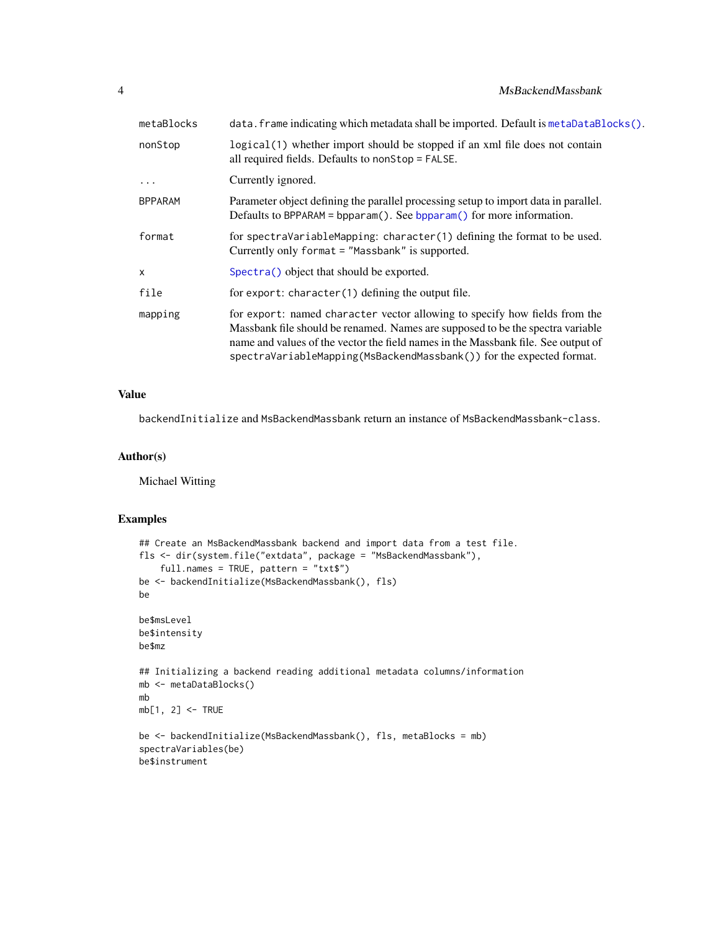#### <span id="page-3-0"></span>4 MsBackendMassbank

| metaBlocks     | data. frame indicating which metadata shall be imported. Default is metaDataBlocks().                                                                                                                                                                                                                                     |
|----------------|---------------------------------------------------------------------------------------------------------------------------------------------------------------------------------------------------------------------------------------------------------------------------------------------------------------------------|
| nonStop        | logical (1) whether import should be stopped if an xml file does not contain<br>all required fields. Defaults to nonStop = FALSE.                                                                                                                                                                                         |
| $\ddots$ .     | Currently ignored.                                                                                                                                                                                                                                                                                                        |
| <b>BPPARAM</b> | Parameter object defining the parallel processing setup to import data in parallel.<br>Defaults to BPPARAM = bpparam(). See bpparam() for more information.                                                                                                                                                               |
| format         | for spectraVariableMapping: character(1) defining the format to be used.<br>Currently only format = "Massbank" is supported.                                                                                                                                                                                              |
| $\times$       | Spectra() object that should be exported.                                                                                                                                                                                                                                                                                 |
| file           | for export: character $(1)$ defining the output file.                                                                                                                                                                                                                                                                     |
| mapping        | for export: named character vector allowing to specify how fields from the<br>Massbank file should be renamed. Names are supposed to be the spectra variable<br>name and values of the vector the field names in the Massbank file. See output of<br>spectraVariableMapping(MsBackendMassbank()) for the expected format. |

### Value

backendInitialize and MsBackendMassbank return an instance of MsBackendMassbank-class.

#### Author(s)

Michael Witting

#### Examples

```
## Create an MsBackendMassbank backend and import data from a test file.
fls <- dir(system.file("extdata", package = "MsBackendMassbank"),
   full.names = TRUE, pattern = "txt$")
be <- backendInitialize(MsBackendMassbank(), fls)
be
be$msLevel
be$intensity
be$mz
## Initializing a backend reading additional metadata columns/information
mb <- metaDataBlocks()
mb
mb[1, 2] <- TRUE
be <- backendInitialize(MsBackendMassbank(), fls, metaBlocks = mb)
spectraVariables(be)
be$instrument
```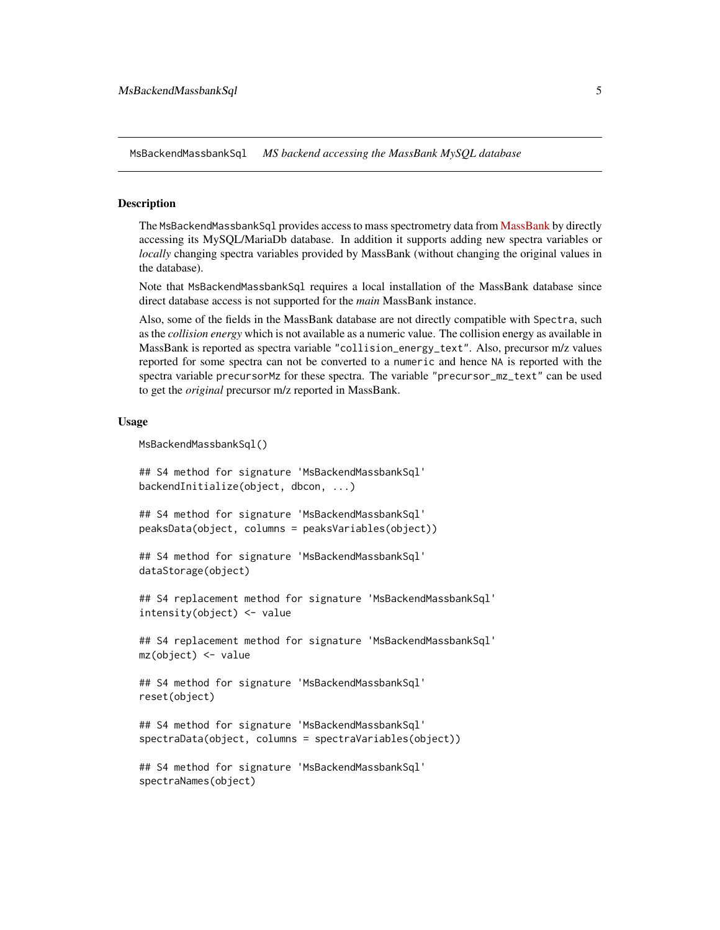<span id="page-4-0"></span>MsBackendMassbankSql *MS backend accessing the MassBank MySQL database*

#### Description

The MsBackendMassbankSq1 provides access to mass spectrometry data from [MassBank](https://massbank.eu/MassBank/) by directly accessing its MySQL/MariaDb database. In addition it supports adding new spectra variables or *locally* changing spectra variables provided by MassBank (without changing the original values in the database).

Note that MsBackendMassbankSql requires a local installation of the MassBank database since direct database access is not supported for the *main* MassBank instance.

Also, some of the fields in the MassBank database are not directly compatible with Spectra, such as the *collision energy* which is not available as a numeric value. The collision energy as available in MassBank is reported as spectra variable "collision\_energy\_text". Also, precursor m/z values reported for some spectra can not be converted to a numeric and hence NA is reported with the spectra variable precursorMz for these spectra. The variable "precursor\_mz\_text" can be used to get the *original* precursor m/z reported in MassBank.

#### Usage

```
MsBackendMassbankSql()
```
## S4 method for signature 'MsBackendMassbankSql' backendInitialize(object, dbcon, ...)

```
## S4 method for signature 'MsBackendMassbankSql'
peaksData(object, columns = peaksVariables(object))
```

```
## S4 method for signature 'MsBackendMassbankSql'
dataStorage(object)
```

```
## S4 replacement method for signature 'MsBackendMassbankSql'
intensity(object) <- value
```
## S4 replacement method for signature 'MsBackendMassbankSql' mz(object) <- value

```
## S4 method for signature 'MsBackendMassbankSql'
reset(object)
```

```
## S4 method for signature 'MsBackendMassbankSql'
spectraData(object, columns = spectraVariables(object))
```

```
## S4 method for signature 'MsBackendMassbankSql'
spectraNames(object)
```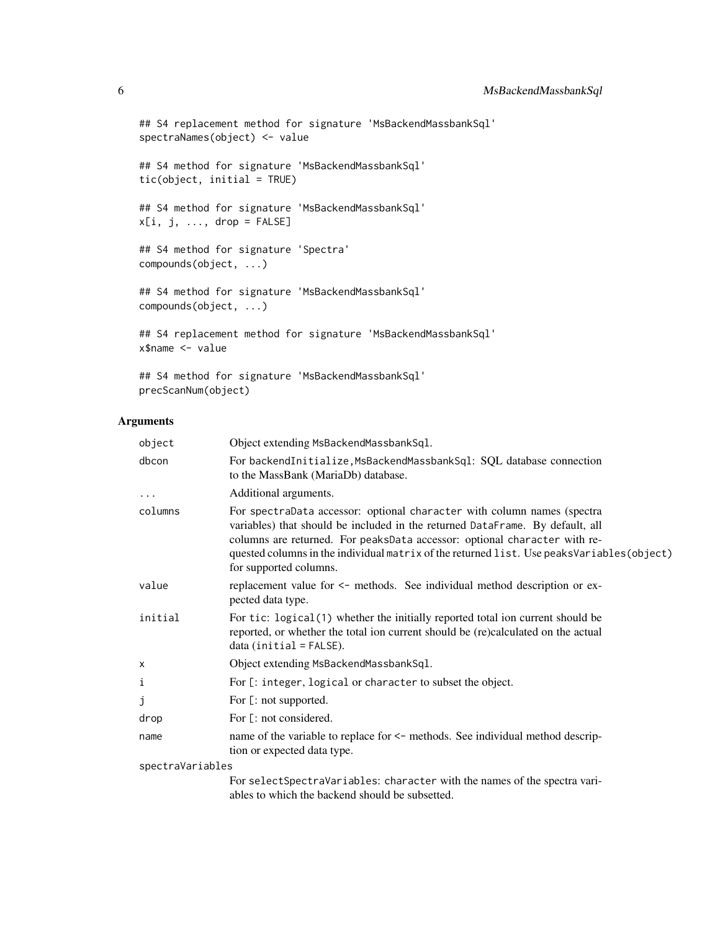```
## S4 replacement method for signature 'MsBackendMassbankSql'
spectraNames(object) <- value
## S4 method for signature 'MsBackendMassbankSql'
tic(object, initial = TRUE)
## S4 method for signature 'MsBackendMassbankSql'
x[i, j, ..., drop = FALSE]## S4 method for signature 'Spectra'
compounds(object, ...)
## S4 method for signature 'MsBackendMassbankSql'
compounds(object, ...)
## S4 replacement method for signature 'MsBackendMassbankSql'
x$name <- value
```
## S4 method for signature 'MsBackendMassbankSql' precScanNum(object)

### Arguments

| object           | Object extending MsBackendMassbankSq1.                                                                                                                                                                                                                                                                                                                       |
|------------------|--------------------------------------------------------------------------------------------------------------------------------------------------------------------------------------------------------------------------------------------------------------------------------------------------------------------------------------------------------------|
| dbcon            | For backendInitialize, MsBackendMassbankSql: SQL database connection<br>to the MassBank (MariaDb) database.                                                                                                                                                                                                                                                  |
| $\cdots$         | Additional arguments.                                                                                                                                                                                                                                                                                                                                        |
| columns          | For spectraData accessor: optional character with column names (spectra<br>variables) that should be included in the returned DataFrame. By default, all<br>columns are returned. For peaksData accessor: optional character with re-<br>quested columns in the individual matrix of the returned list. Use peaksVariables(object)<br>for supported columns. |
| value            | replacement value for $\le$ - methods. See individual method description or ex-<br>pected data type.                                                                                                                                                                                                                                                         |
| initial          | For tic: logical(1) whether the initially reported total ion current should be<br>reported, or whether the total ion current should be (re)calculated on the actual<br>$data (initial = FALSE).$                                                                                                                                                             |
| x                | Object extending MsBackendMassbankSql.                                                                                                                                                                                                                                                                                                                       |
| i                | For [: integer, logical or character to subset the object.                                                                                                                                                                                                                                                                                                   |
| j                | For [: not supported.                                                                                                                                                                                                                                                                                                                                        |
| drop             | For [: not considered.                                                                                                                                                                                                                                                                                                                                       |
| name             | name of the variable to replace for <- methods. See individual method descrip-<br>tion or expected data type.                                                                                                                                                                                                                                                |
| spectraVariables |                                                                                                                                                                                                                                                                                                                                                              |
|                  | For selectSpectraVariables: character with the names of the spectra vari-<br>ables to which the backend should be subsetted.                                                                                                                                                                                                                                 |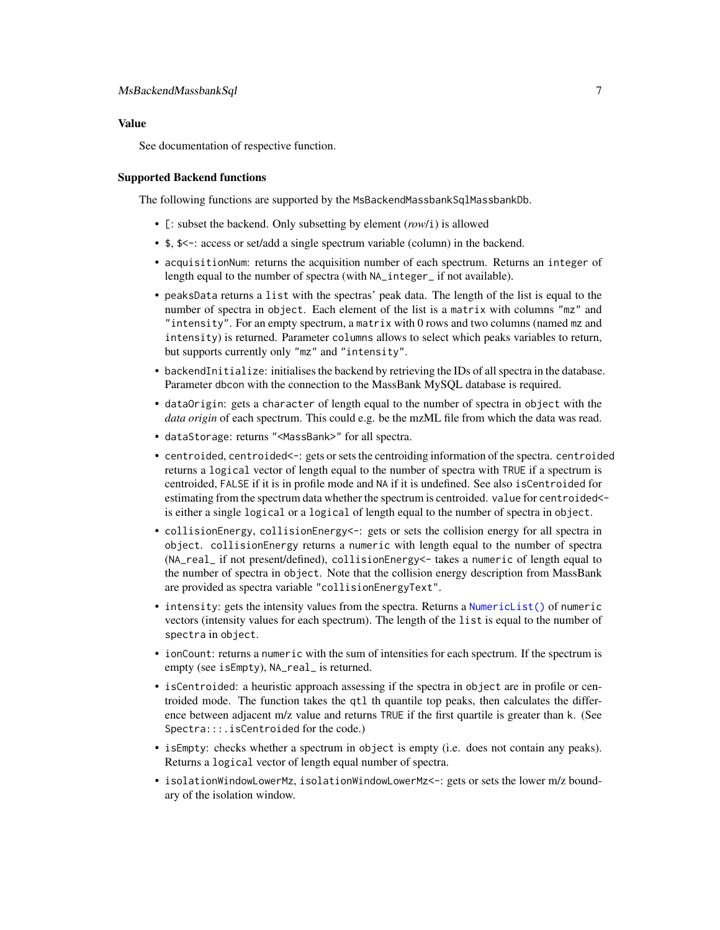#### <span id="page-6-0"></span>Value

See documentation of respective function.

#### Supported Backend functions

The following functions are supported by the MsBackendMassbankSqlMassbankDb.

- [: subset the backend. Only subsetting by element (*row*/i) is allowed
- \$, \$<-: access or set/add a single spectrum variable (column) in the backend.
- acquisitionNum: returns the acquisition number of each spectrum. Returns an integer of length equal to the number of spectra (with NA\_integer\_ if not available).
- peaksData returns a list with the spectras' peak data. The length of the list is equal to the number of spectra in object. Each element of the list is a matrix with columns "mz" and "intensity". For an empty spectrum, a matrix with 0 rows and two columns (named mz and intensity) is returned. Parameter columns allows to select which peaks variables to return, but supports currently only "mz" and "intensity".
- backendInitialize: initialises the backend by retrieving the IDs of all spectra in the database. Parameter dbcon with the connection to the MassBank MySQL database is required.
- dataOrigin: gets a character of length equal to the number of spectra in object with the *data origin* of each spectrum. This could e.g. be the mzML file from which the data was read.
- dataStorage: returns "<MassBank>" for all spectra.
- centroided, centroided<-: gets or sets the centroiding information of the spectra. centroided returns a logical vector of length equal to the number of spectra with TRUE if a spectrum is centroided, FALSE if it is in profile mode and NA if it is undefined. See also isCentroided for estimating from the spectrum data whether the spectrum is centroided. value for centroided< is either a single logical or a logical of length equal to the number of spectra in object.
- collisionEnergy, collisionEnergy <-: gets or sets the collision energy for all spectra in object. collisionEnergy returns a numeric with length equal to the number of spectra (NA\_real\_ if not present/defined), collisionEnergy<- takes a numeric of length equal to the number of spectra in object. Note that the collision energy description from MassBank are provided as spectra variable "collisionEnergyText".
- intensity: gets the intensity values from the spectra. Returns a [NumericList\(\)](#page-0-0) of numeric vectors (intensity values for each spectrum). The length of the list is equal to the number of spectra in object.
- ionCount: returns a numeric with the sum of intensities for each spectrum. If the spectrum is empty (see isEmpty), NA\_real\_ is returned.
- isCentroided: a heuristic approach assessing if the spectra in object are in profile or centroided mode. The function takes the qtl th quantile top peaks, then calculates the difference between adjacent m/z value and returns TRUE if the first quartile is greater than k. (See Spectra:::.isCentroided for the code.)
- isEmpty: checks whether a spectrum in object is empty (i.e. does not contain any peaks). Returns a logical vector of length equal number of spectra.
- isolationWindowLowerMz, isolationWindowLowerMz<-: gets or sets the lower m/z boundary of the isolation window.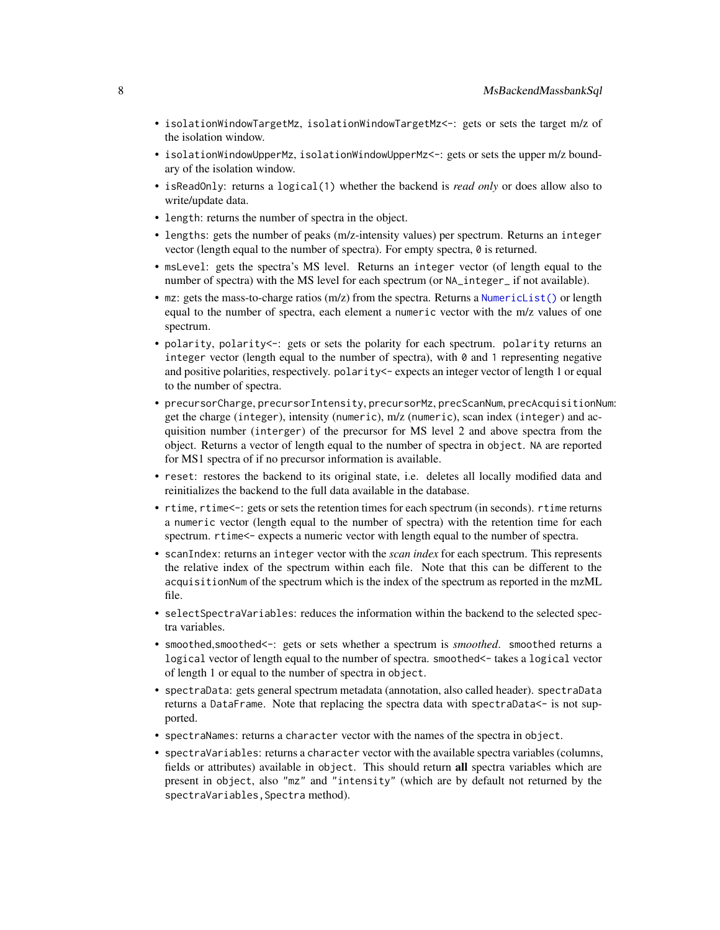- <span id="page-7-0"></span>• isolationWindowTargetMz, isolationWindowTargetMz<-: gets or sets the target m/z of the isolation window.
- isolationWindowUpperMz, isolationWindowUpperMz<-: gets or sets the upper m/z boundary of the isolation window.
- isReadOnly: returns a logical(1) whether the backend is *read only* or does allow also to write/update data.
- length: returns the number of spectra in the object.
- lengths: gets the number of peaks (m/z-intensity values) per spectrum. Returns an integer vector (length equal to the number of spectra). For empty spectra, 0 is returned.
- msLevel: gets the spectra's MS level. Returns an integer vector (of length equal to the number of spectra) with the MS level for each spectrum (or  $NA$  integer if not available).
- mz: gets the mass-to-charge ratios (m/z) from the spectra. Returns a [NumericList\(\)](#page-0-0) or length equal to the number of spectra, each element a numeric vector with the m/z values of one spectrum.
- polarity, polarity<-: gets or sets the polarity for each spectrum. polarity returns an integer vector (length equal to the number of spectra), with  $\theta$  and 1 representing negative and positive polarities, respectively, polarity <- expects an integer vector of length 1 or equal to the number of spectra.
- precursorCharge, precursorIntensity, precursorMz, precScanNum, precAcquisitionNum: get the charge (integer), intensity (numeric), m/z (numeric), scan index (integer) and acquisition number (interger) of the precursor for MS level 2 and above spectra from the object. Returns a vector of length equal to the number of spectra in object. NA are reported for MS1 spectra of if no precursor information is available.
- reset: restores the backend to its original state, i.e. deletes all locally modified data and reinitializes the backend to the full data available in the database.
- rtime, rtime  $\leftarrow$ : gets or sets the retention times for each spectrum (in seconds). rtime returns a numeric vector (length equal to the number of spectra) with the retention time for each spectrum. rtime<- expects a numeric vector with length equal to the number of spectra.
- scanIndex: returns an integer vector with the *scan index* for each spectrum. This represents the relative index of the spectrum within each file. Note that this can be different to the acquisitionNum of the spectrum which is the index of the spectrum as reported in the mzML file.
- selectSpectraVariables: reduces the information within the backend to the selected spectra variables.
- smoothed, smoothed <-: gets or sets whether a spectrum is *smoothed*. smoothed returns a logical vector of length equal to the number of spectra. smoothed <- takes a logical vector of length 1 or equal to the number of spectra in object.
- spectraData: gets general spectrum metadata (annotation, also called header). spectraData returns a DataFrame. Note that replacing the spectra data with spectraData<- is not supported.
- spectraNames: returns a character vector with the names of the spectra in object.
- spectraVariables: returns a character vector with the available spectra variables (columns, fields or attributes) available in object. This should return all spectra variables which are present in object, also "mz" and "intensity" (which are by default not returned by the spectraVariables, Spectra method).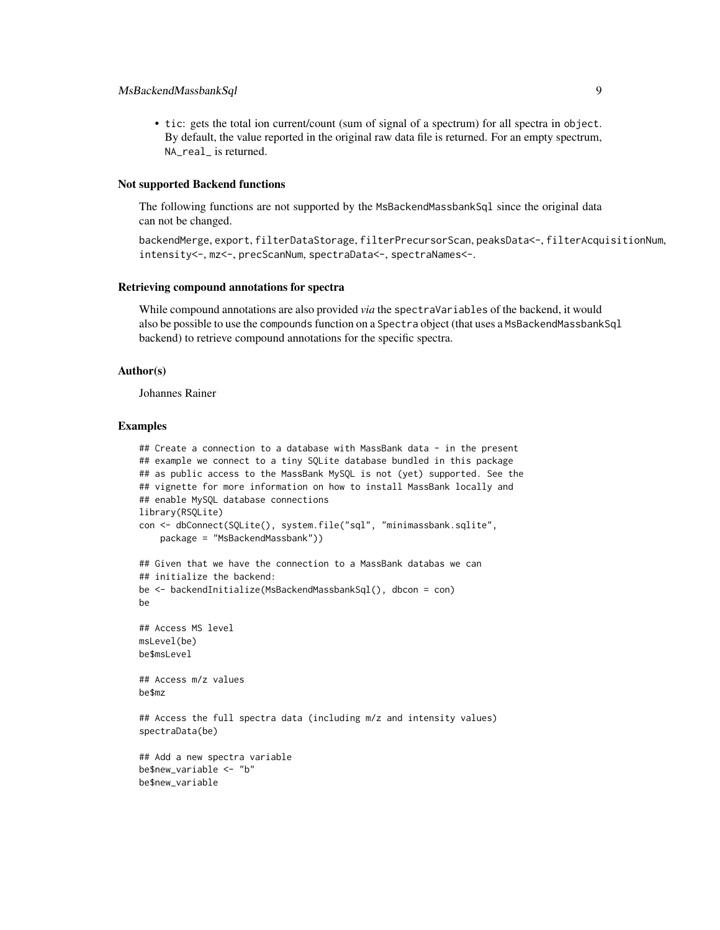#### MsBackendMassbankSql 9

• tic: gets the total ion current/count (sum of signal of a spectrum) for all spectra in object. By default, the value reported in the original raw data file is returned. For an empty spectrum, NA\_real\_ is returned.

#### Not supported Backend functions

The following functions are not supported by the MsBackendMassbankSql since the original data can not be changed.

backendMerge, export, filterDataStorage, filterPrecursorScan, peaksData<-, filterAcquisitionNum, intensity<-, mz<-, precScanNum, spectraData<-, spectraNames<-.

#### Retrieving compound annotations for spectra

While compound annotations are also provided *via* the spectraVariables of the backend, it would also be possible to use the compounds function on a Spectra object (that uses a MsBackendMassbankSql backend) to retrieve compound annotations for the specific spectra.

#### Author(s)

Johannes Rainer

#### Examples

```
## Create a connection to a database with MassBank data - in the present
## example we connect to a tiny SQLite database bundled in this package
## as public access to the MassBank MySQL is not (yet) supported. See the
## vignette for more information on how to install MassBank locally and
## enable MySQL database connections
library(RSQLite)
con <- dbConnect(SQLite(), system.file("sql", "minimassbank.sqlite",
    package = "MsBackendMassbank"))
## Given that we have the connection to a MassBank databas we can
## initialize the backend:
be <- backendInitialize(MsBackendMassbankSql(), dbcon = con)
be
## Access MS level
msLevel(be)
be$msLevel
## Access m/z values
be$mz
## Access the full spectra data (including m/z and intensity values)
spectraData(be)
## Add a new spectra variable
be$new_variable <- "b"
be$new_variable
```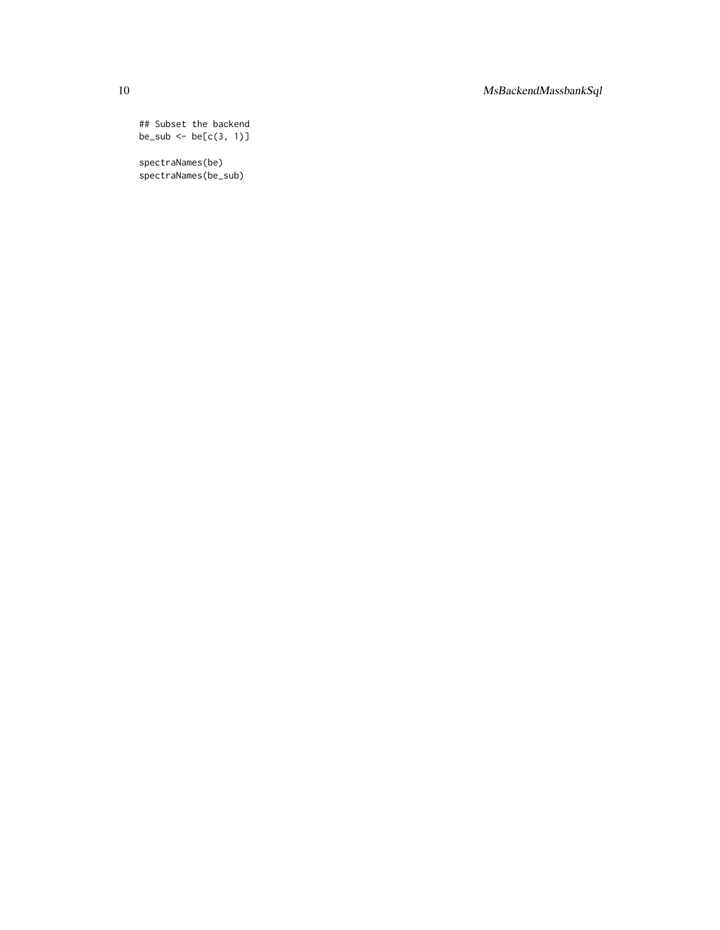## Subset the backend  $be\_sub \leftarrow be[c(3, 1)]$ 

spectraNames(be) spectraNames(be\_sub)